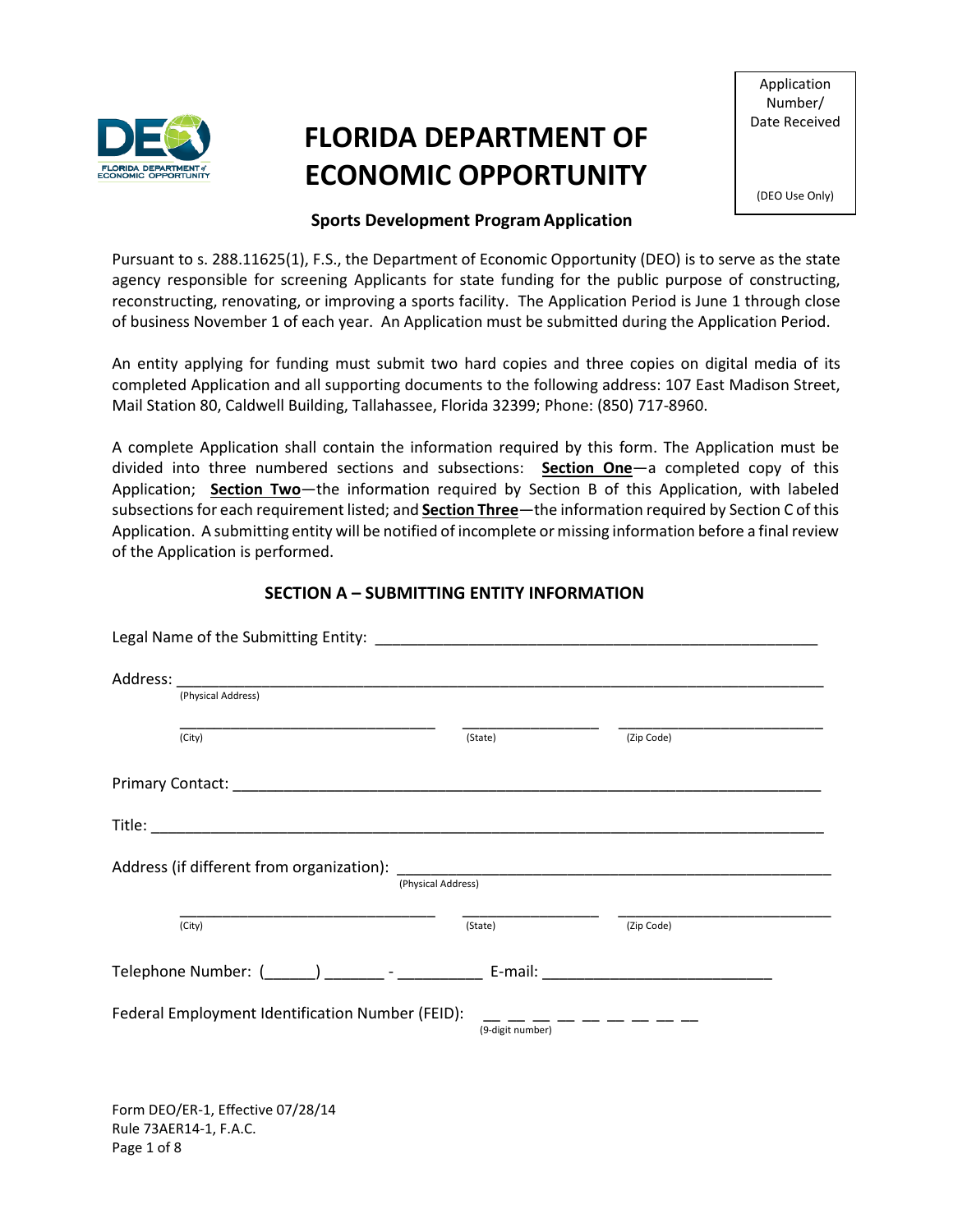

# **FLORIDA DEPARTMENT OF ECONOMIC OPPORTUNITY**

Application Number/ Date Received

(DEO Use Only)

## **Sports Development Program Application**

Pursuant to s. 288.11625(1), F.S., the Department of Economic Opportunity (DEO) is to serve as the state agency responsible for screening Applicants for state funding for the public purpose of constructing, reconstructing, renovating, or improving a sports facility. The Application Period is June 1 through close of business November 1 of each year. An Application must be submitted during the Application Period.

An entity applying for funding must submit two hard copies and three copies on digital media of its completed Application and all supporting documents to the following address: 107 East Madison Street, Mail Station 80, Caldwell Building, Tallahassee, Florida 32399; Phone: (850) 717-8960.

A complete Application shall contain the information required by this form. The Application must be divided into three numbered sections and subsections: **Section One**—a completed copy of this Application; **Section Two**—the information required by Section B of this Application, with labeled subsections for each requirement listed; and **Section Three**—the information required by Section C of this Application. A submitting entity will be notified of incomplete or missing information before a final review of the Application is performed.

## **SECTION A – SUBMITTING ENTITY INFORMATION**

|                                                                                               | (Physical Address) |         |            |  |
|-----------------------------------------------------------------------------------------------|--------------------|---------|------------|--|
|                                                                                               | (City)             | (State) | (Zip Code) |  |
|                                                                                               |                    |         |            |  |
|                                                                                               |                    |         |            |  |
| (Physical Address)                                                                            |                    |         |            |  |
|                                                                                               | (City)             | (State) | (Zip Code) |  |
|                                                                                               |                    |         |            |  |
| Federal Employment Identification Number (FEID):<br>$- - - - - - - - - -$<br>(9-digit number) |                    |         |            |  |
|                                                                                               |                    |         |            |  |

Form DEO/ER-1, Effective 07/28/14 Rule 73AER14-1, F.A.C. Page 1 of 8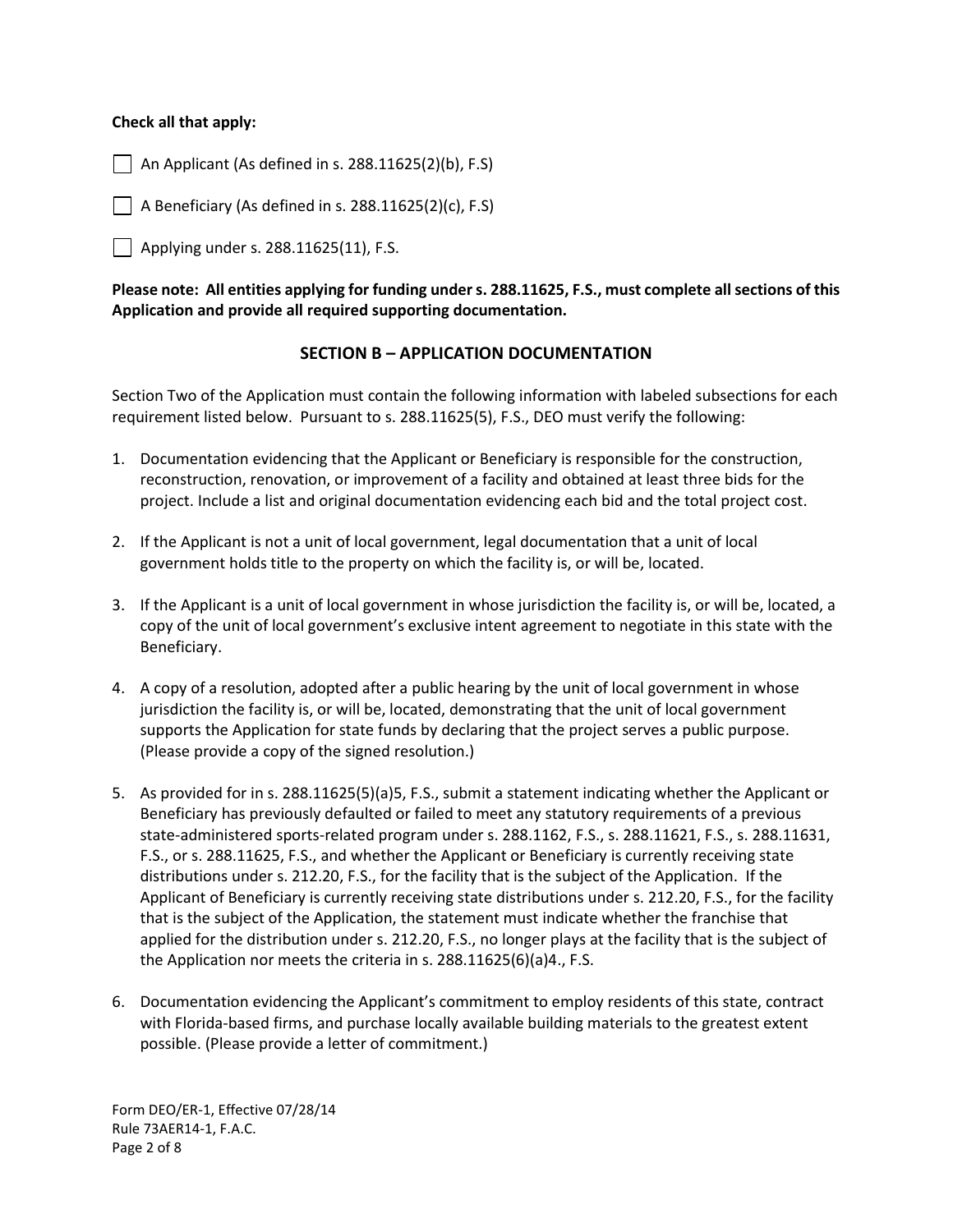#### **Check all that apply:**

 $\vert$   $\vert$  An Applicant (As defined in s. 288.11625(2)(b), F.S)

 $\Box$  A Beneficiary (As defined in s. 288.11625(2)(c), F.S)

Applying under s. 288.11625(11), F.S.

**Please note: All entities applying for funding under s. 288.11625, F.S., must complete all sections of this Application and provide all required supporting documentation.**

#### **SECTION B – APPLICATION DOCUMENTATION**

Section Two of the Application must contain the following information with labeled subsections for each requirement listed below. Pursuant to s. 288.11625(5), F.S., DEO must verify the following:

- 1. Documentation evidencing that the Applicant or Beneficiary is responsible for the construction, reconstruction, renovation, or improvement of a facility and obtained at least three bids for the project. Include a list and original documentation evidencing each bid and the total project cost.
- 2. If the Applicant is not a unit of local government, legal documentation that a unit of local government holds title to the property on which the facility is, or will be, located.
- 3. If the Applicant is a unit of local government in whose jurisdiction the facility is, or will be, located, a copy of the unit of local government's exclusive intent agreement to negotiate in this state with the Beneficiary.
- 4. A copy of a resolution, adopted after a public hearing by the unit of local government in whose jurisdiction the facility is, or will be, located, demonstrating that the unit of local government supports the Application for state funds by declaring that the project serves a public purpose. (Please provide a copy of the signed resolution.)
- 5. As provided for in s. 288.11625(5)(a)5, F.S., submit a statement indicating whether the Applicant or Beneficiary has previously defaulted or failed to meet any statutory requirements of a previous state-administered sports-related program under s. 288.1162, F.S., s. 288.11621, F.S., s. 288.11631, F.S., or s. 288.11625, F.S., and whether the Applicant or Beneficiary is currently receiving state distributions under s. 212.20, F.S., for the facility that is the subject of the Application. If the Applicant of Beneficiary is currently receiving state distributions under s. 212.20, F.S., for the facility that is the subject of the Application, the statement must indicate whether the franchise that applied for the distribution under s. 212.20, F.S., no longer plays at the facility that is the subject of the Application nor meets the criteria in s. 288.11625(6)(a)4., F.S.
- 6. Documentation evidencing the Applicant's commitment to employ residents of this state, contract with Florida-based firms, and purchase locally available building materials to the greatest extent possible. (Please provide a letter of commitment.)

Form DEO/ER-1, Effective 07/28/14 Rule 73AER14-1, F.A.C. Page 2 of 8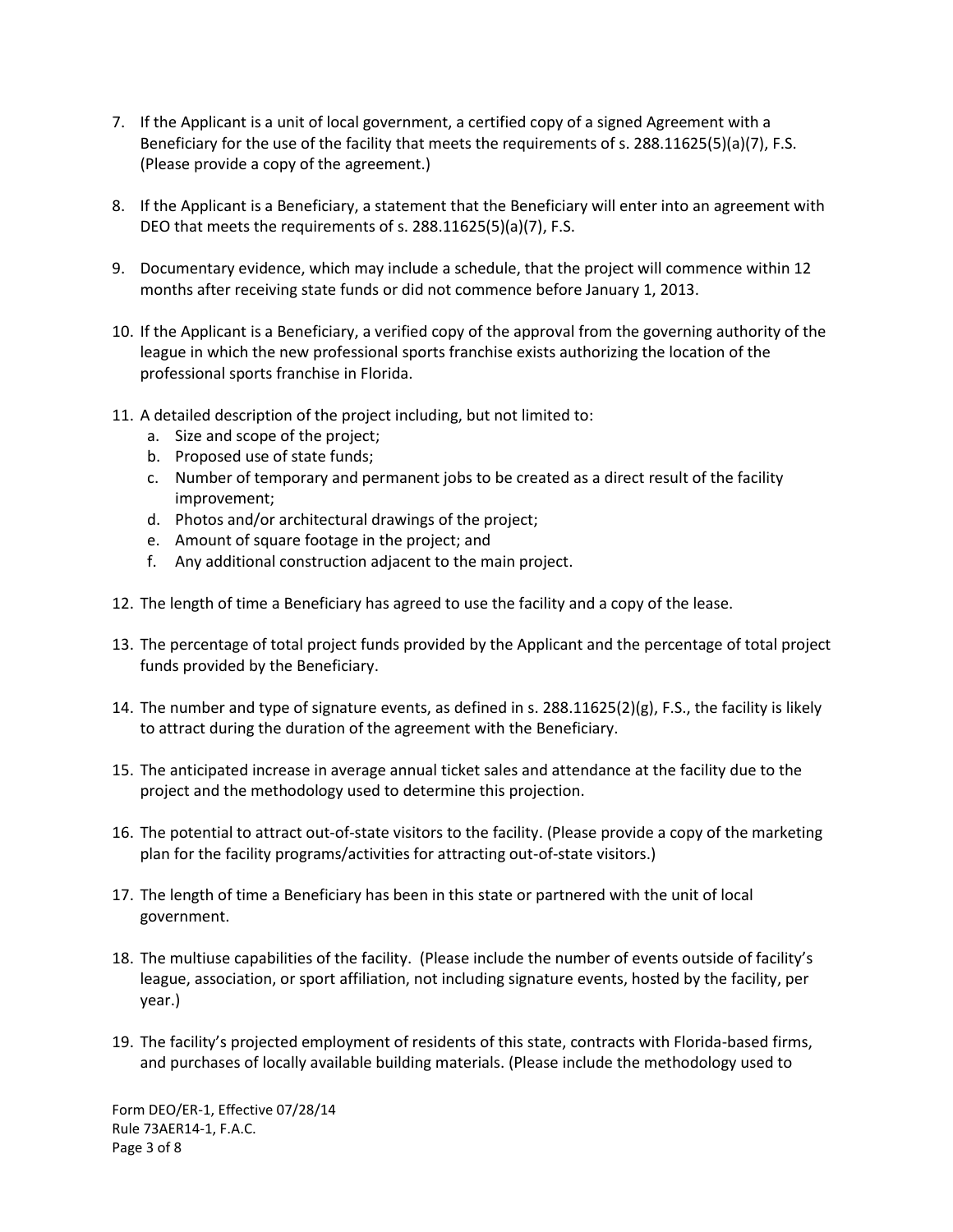- 7. If the Applicant is a unit of local government, a certified copy of a signed Agreement with a Beneficiary for the use of the facility that meets the requirements of s. 288.11625(5)(a)(7), F.S. (Please provide a copy of the agreement.)
- 8. If the Applicant is a Beneficiary, a statement that the Beneficiary will enter into an agreement with DEO that meets the requirements of s. 288.11625(5)(a)(7), F.S.
- 9. Documentary evidence, which may include a schedule, that the project will commence within 12 months after receiving state funds or did not commence before January 1, 2013.
- 10. If the Applicant is a Beneficiary, a verified copy of the approval from the governing authority of the league in which the new professional sports franchise exists authorizing the location of the professional sports franchise in Florida.
- 11. A detailed description of the project including, but not limited to:
	- a. Size and scope of the project;
	- b. Proposed use of state funds;
	- c. Number of temporary and permanent jobs to be created as a direct result of the facility improvement;
	- d. Photos and/or architectural drawings of the project;
	- e. Amount of square footage in the project; and
	- f. Any additional construction adjacent to the main project.
- 12. The length of time a Beneficiary has agreed to use the facility and a copy of the lease.
- 13. The percentage of total project funds provided by the Applicant and the percentage of total project funds provided by the Beneficiary.
- 14. The number and type of signature events, as defined in s. 288.11625(2)(g), F.S., the facility is likely to attract during the duration of the agreement with the Beneficiary.
- 15. The anticipated increase in average annual ticket sales and attendance at the facility due to the project and the methodology used to determine this projection.
- 16. The potential to attract out-of-state visitors to the facility. (Please provide a copy of the marketing plan for the facility programs/activities for attracting out-of-state visitors.)
- 17. The length of time a Beneficiary has been in this state or partnered with the unit of local government.
- 18. The multiuse capabilities of the facility. (Please include the number of events outside of facility's league, association, or sport affiliation, not including signature events, hosted by the facility, per year.)
- 19. The facility's projected employment of residents of this state, contracts with Florida-based firms, and purchases of locally available building materials. (Please include the methodology used to

Form DEO/ER-1, Effective 07/28/14 Rule 73AER14-1, F.A.C. Page 3 of 8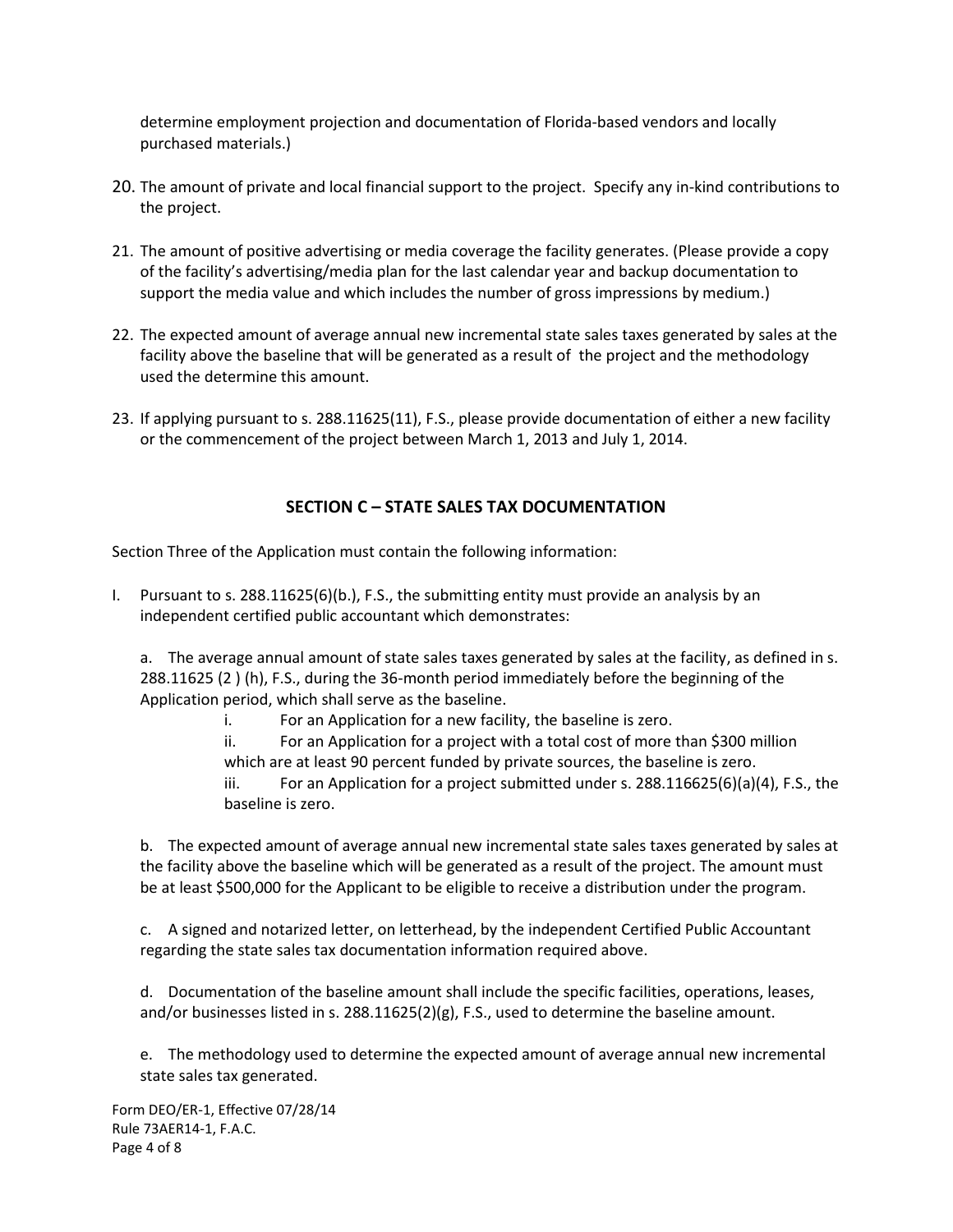determine employment projection and documentation of Florida-based vendors and locally purchased materials.)

- 20. The amount of private and local financial support to the project. Specify any in-kind contributions to the project.
- 21. The amount of positive advertising or media coverage the facility generates. (Please provide a copy of the facility's advertising/media plan for the last calendar year and backup documentation to support the media value and which includes the number of gross impressions by medium.)
- 22. The expected amount of average annual new incremental state sales taxes generated by sales at the facility above the baseline that will be generated as a result of the project and the methodology used the determine this amount.
- 23. If applying pursuant to s. 288.11625(11), F.S., please provide documentation of either a new facility or the commencement of the project between March 1, 2013 and July 1, 2014.

# **SECTION C – STATE SALES TAX DOCUMENTATION**

Section Three of the Application must contain the following information:

I. Pursuant to s. 288.11625(6)(b.), F.S., the submitting entity must provide an analysis by an independent certified public accountant which demonstrates:

a. The average annual amount of state sales taxes generated by sales at the facility, as defined in s. 288.11625 (2 ) (h), F.S., during the 36-month period immediately before the beginning of the Application period, which shall serve as the baseline.

i. For an Application for a new facility, the baseline is zero.

ii. For an Application for a project with a total cost of more than \$300 million which are at least 90 percent funded by private sources, the baseline is zero.

iii. For an Application for a project submitted under s.  $288.116625(6)(a)(4)$ , F.S., the baseline is zero.

b. The expected amount of average annual new incremental state sales taxes generated by sales at the facility above the baseline which will be generated as a result of the project. The amount must be at least \$500,000 for the Applicant to be eligible to receive a distribution under the program.

c. A signed and notarized letter, on letterhead, by the independent Certified Public Accountant regarding the state sales tax documentation information required above.

d. Documentation of the baseline amount shall include the specific facilities, operations, leases, and/or businesses listed in s. 288.11625(2)(g), F.S., used to determine the baseline amount.

e. The methodology used to determine the expected amount of average annual new incremental state sales tax generated.

Form DEO/ER-1, Effective 07/28/14 Rule 73AER14-1, F.A.C. Page 4 of 8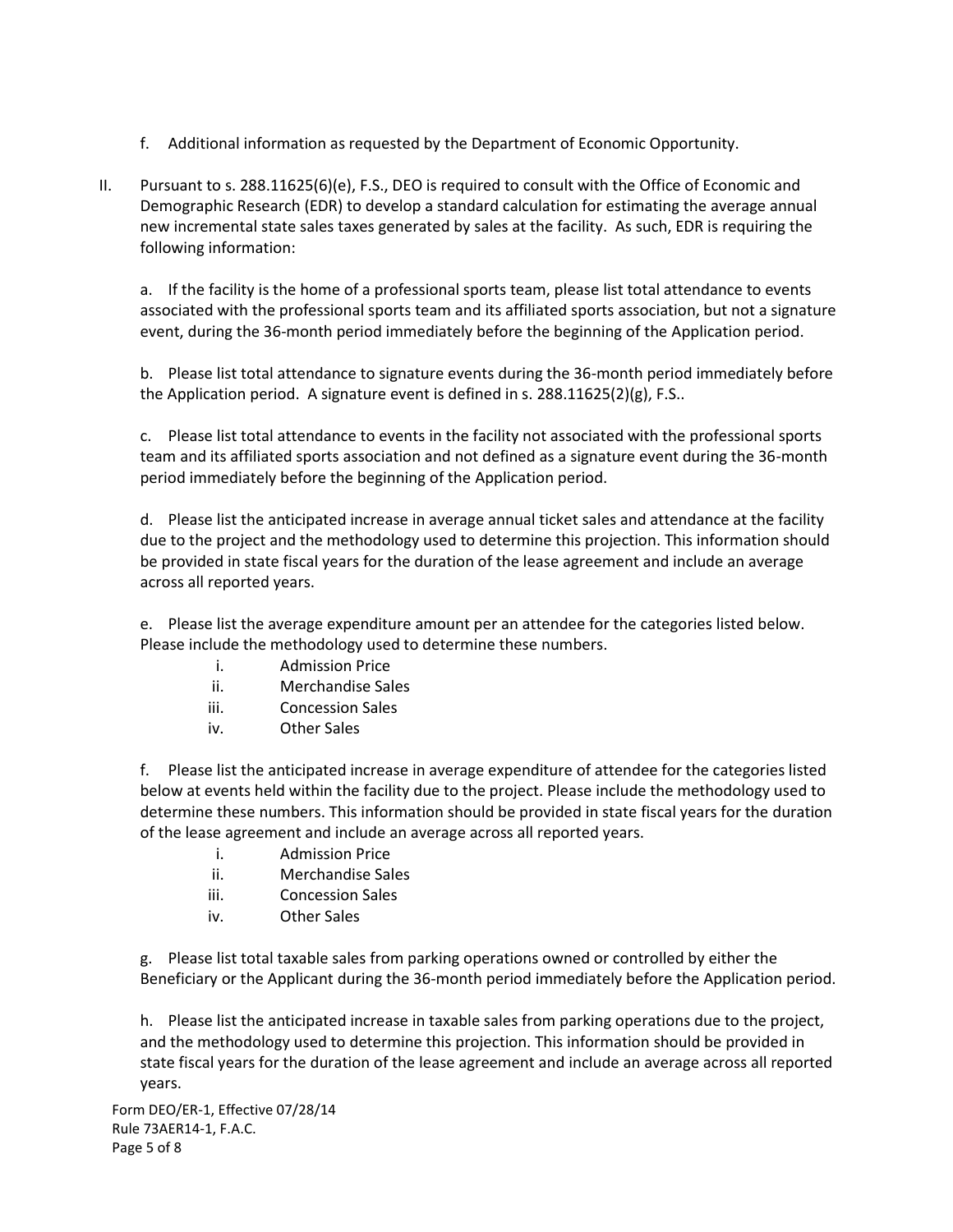- f. Additional information as requested by the Department of Economic Opportunity.
- II. Pursuant to s. 288.11625(6)(e), F.S., DEO is required to consult with the Office of Economic and Demographic Research (EDR) to develop a standard calculation for estimating the average annual new incremental state sales taxes generated by sales at the facility. As such, EDR is requiring the following information:

a. If the facility is the home of a professional sports team, please list total attendance to events associated with the professional sports team and its affiliated sports association, but not a signature event, during the 36-month period immediately before the beginning of the Application period.

b. Please list total attendance to signature events during the 36-month period immediately before the Application period. A signature event is defined in s.  $288.11625(2)(g)$ , F.S..

c. Please list total attendance to events in the facility not associated with the professional sports team and its affiliated sports association and not defined as a signature event during the 36-month period immediately before the beginning of the Application period.

d. Please list the anticipated increase in average annual ticket sales and attendance at the facility due to the project and the methodology used to determine this projection. This information should be provided in state fiscal years for the duration of the lease agreement and include an average across all reported years.

e. Please list the average expenditure amount per an attendee for the categories listed below. Please include the methodology used to determine these numbers.

- i. Admission Price
- ii. Merchandise Sales
- iii. Concession Sales
- iv. Other Sales

f. Please list the anticipated increase in average expenditure of attendee for the categories listed below at events held within the facility due to the project. Please include the methodology used to determine these numbers. This information should be provided in state fiscal years for the duration of the lease agreement and include an average across all reported years.

- i. Admission Price
- ii. Merchandise Sales
- iii. Concession Sales
- iv. Other Sales

g. Please list total taxable sales from parking operations owned or controlled by either the Beneficiary or the Applicant during the 36-month period immediately before the Application period.

h. Please list the anticipated increase in taxable sales from parking operations due to the project, and the methodology used to determine this projection. This information should be provided in state fiscal years for the duration of the lease agreement and include an average across all reported years.

Form DEO/ER-1, Effective 07/28/14 Rule 73AER14-1, F.A.C. Page 5 of 8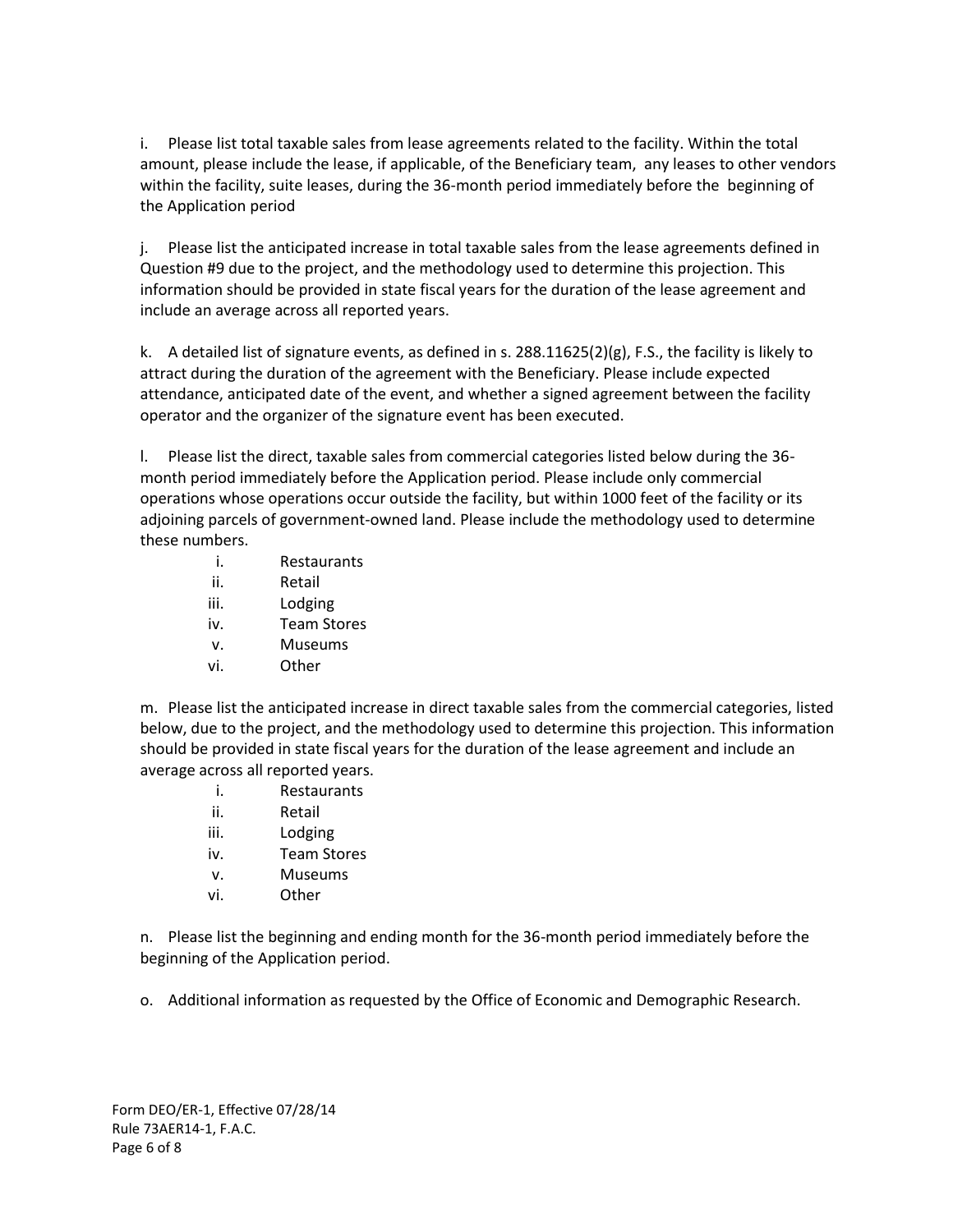i. Please list total taxable sales from lease agreements related to the facility. Within the total amount, please include the lease, if applicable, of the Beneficiary team, any leases to other vendors within the facility, suite leases, during the 36-month period immediately before the beginning of the Application period

j. Please list the anticipated increase in total taxable sales from the lease agreements defined in Question #9 due to the project, and the methodology used to determine this projection. This information should be provided in state fiscal years for the duration of the lease agreement and include an average across all reported years.

k. A detailed list of signature events, as defined in s. 288.11625(2)(g), F.S., the facility is likely to attract during the duration of the agreement with the Beneficiary. Please include expected attendance, anticipated date of the event, and whether a signed agreement between the facility operator and the organizer of the signature event has been executed.

l. Please list the direct, taxable sales from commercial categories listed below during the 36 month period immediately before the Application period. Please include only commercial operations whose operations occur outside the facility, but within 1000 feet of the facility or its adjoining parcels of government-owned land. Please include the methodology used to determine these numbers.

- i. Restaurants
- ii. Retail
- iii. Lodging
- iv. Team Stores
- v. Museums
- vi. Other

m. Please list the anticipated increase in direct taxable sales from the commercial categories, listed below, due to the project, and the methodology used to determine this projection. This information should be provided in state fiscal years for the duration of the lease agreement and include an average across all reported years.

- i. Restaurants
- ii. Retail
- iii. Lodging
- iv. Team Stores
- v. Museums
- vi. Other

n. Please list the beginning and ending month for the 36-month period immediately before the beginning of the Application period.

o. Additional information as requested by the Office of Economic and Demographic Research.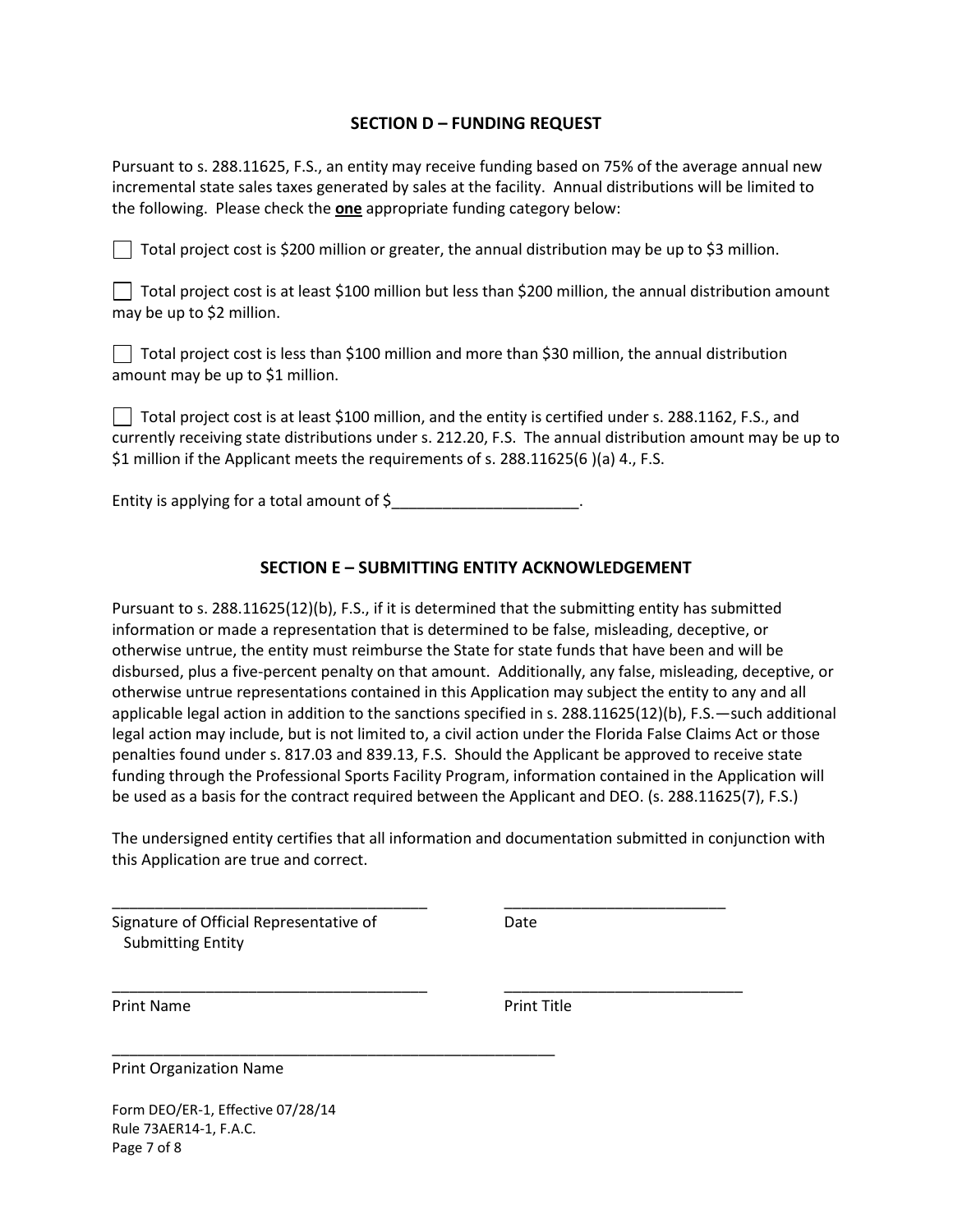## **SECTION D – FUNDING REQUEST**

Pursuant to s. 288.11625, F.S., an entity may receive funding based on 75% of the average annual new incremental state sales taxes generated by sales at the facility. Annual distributions will be limited to the following. Please check the **one** appropriate funding category below:

Total project cost is \$200 million or greater, the annual distribution may be up to \$3 million.

Total project cost is at least \$100 million but less than \$200 million, the annual distribution amount may be up to \$2 million.

| □ Total project cost is less than \$100 million and more than \$30 million, the annual distribution |  |
|-----------------------------------------------------------------------------------------------------|--|
| amount may be up to \$1 million.                                                                    |  |

Total project cost is at least \$100 million, and the entity is certified under s. 288.1162, F.S., and currently receiving state distributions under s. 212.20, F.S. The annual distribution amount may be up to \$1 million if the Applicant meets the requirements of s. 288.11625(6 )(a) 4., F.S.

Entity is applying for a total amount of  $\zeta$  \_\_\_\_\_\_\_\_\_\_\_\_\_\_\_\_\_\_\_\_\_\_.

# **SECTION E – SUBMITTING ENTITY ACKNOWLEDGEMENT**

Pursuant to s. 288.11625(12)(b), F.S., if it is determined that the submitting entity has submitted information or made a representation that is determined to be false, misleading, deceptive, or otherwise untrue, the entity must reimburse the State for state funds that have been and will be disbursed, plus a five-percent penalty on that amount. Additionally, any false, misleading, deceptive, or otherwise untrue representations contained in this Application may subject the entity to any and all applicable legal action in addition to the sanctions specified in s. 288.11625(12)(b), F.S.—such additional legal action may include, but is not limited to, a civil action under the Florida False Claims Act or those penalties found under s. 817.03 and 839.13, F.S. Should the Applicant be approved to receive state funding through the Professional Sports Facility Program, information contained in the Application will be used as a basis for the contract required between the Applicant and DEO. (s. 288.11625(7), F.S.)

The undersigned entity certifies that all information and documentation submitted in conjunction with this Application are true and correct.

\_\_\_\_\_\_\_\_\_\_\_\_\_\_\_\_\_\_\_\_\_\_\_\_\_\_\_\_\_\_\_\_\_\_\_\_\_ \_\_\_\_\_\_\_\_\_\_\_\_\_\_\_\_\_\_\_\_\_\_\_\_\_\_

\_\_\_\_\_\_\_\_\_\_\_\_\_\_\_\_\_\_\_\_\_\_\_\_\_\_\_\_\_\_\_\_\_\_\_\_\_ \_\_\_\_\_\_\_\_\_\_\_\_\_\_\_\_\_\_\_\_\_\_\_\_\_\_\_\_

\_\_\_\_\_\_\_\_\_\_\_\_\_\_\_\_\_\_\_\_\_\_\_\_\_\_\_\_\_\_\_\_\_\_\_\_\_\_\_\_\_\_\_\_\_\_\_\_\_\_\_\_

Signature of Official Representative of **Date** Submitting Entity

Print Name **Print Title** 

Print Organization Name

Form DEO/ER-1, Effective 07/28/14 Rule 73AER14-1, F.A.C. Page 7 of 8